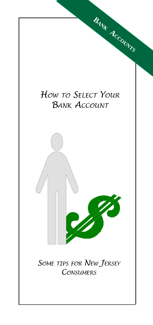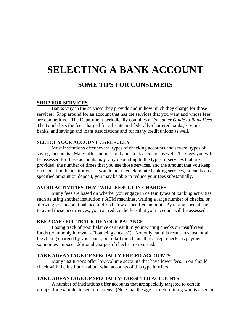# **SELECTING A BANK ACCOUNT**

# **SOME TIPS FOR CONSUMERS**

#### **SHOP FOR SERVICES**

Banks vary in the services they provide and in how much they charge for those services. Shop around for an account that has the services that you want and whose fees are competitive. The Department periodically compiles a *Consumer Guide to Bank Fees*. The *Guide* lists the fees charged for all state and federally-chartered banks, savings banks, and savings and loans associations and for many credit unions as well.

## **SELECT YOUR ACCOUNT CAREFULLY**

Most institutions offer several types of checking accounts and several types of savings accounts. Many offer mutual fund and stock accounts as well. The fees you will be assessed for these accounts may vary depending to the types of services that are provided, the number of times that you use those services, and the amount that you keep on deposit in the institution. If you do not need elaborate banking services, or can keep a specified amount on deposit, you may be able to reduce your fees substantially.

#### **AVOID ACTIVITIES THAT WILL RESULT IN CHARGES**

Many fees are based on whether you engage in certain types of banking activities, such as using another institution's ATM machines, writing a large number of checks, or allowing you account balance to drop below a specified amount. By taking special care to avoid these occurrences, you can reduce the fees that your account will be assessed.

# **KEEP CAREFUL TRACK OF YOUR BALANCE**

Losing track of your balance can result in your writing checks on insufficient funds (commonly known as "bouncing checks"). Not only can this result in substantial fees being charged by your bank, but retail merchants that accept checks as payment sometimes impose additional charges if checks are returned.

#### **TAKE ADVANTAGE OF SPECIALLY-PRICED ACCOUNTS**

Many institutions offer low-volume accounts that have lower fees. You should check with the institution about what accounts of this type it offers.

#### **TAKE ADVANTAGE OF SPECIALLY-TARGETED ACCOUNTS**

A number of institutions offer accounts that are specially targeted to certain groups, for example, to senior citizens. (Note that the age for determining who is a senior